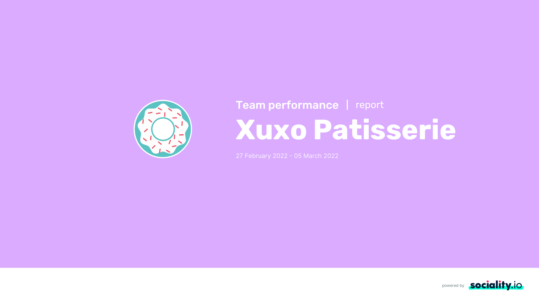



27 February 2022 - 05 March 2022



## **Xuxo Patisserie** Team performance | report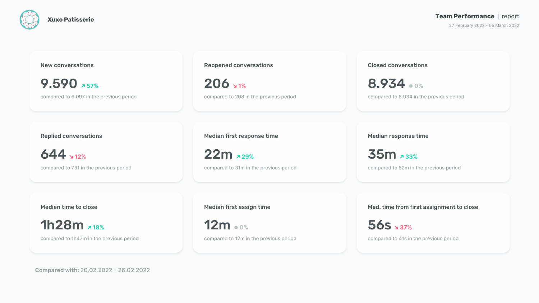compared to 41s in the previous period



Med. time from first assignment to close

56s **37%**

compared to 12m in the previous period

Compared with: 20.02.2022 - 26.02.2022

**Xuxo Patisserie Team Performance** report

27 February 2022 - 05 March 2022

Median first assign time

12m **0%**

compared to 1h47m in the previous period

Median time to close

1h28m **18%**

compared to 52m in the previous period

#### Median response time

35m **33%**

compared to 31m in the previous period

Median first response time

22m **29%**

compared to 731 in the previous period

Replied conversations

644 **12%**

compared to 8.934 in the previous period

#### Closed conversations

8.934 **0%**

compared to 208 in the previous period

Reopened conversations

206 **1%**

compared to 6.097 in the previous period



#### New conversations

9.590 **57%**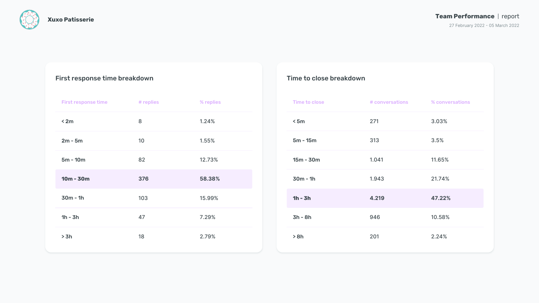



| <b>Time to close</b> | # conversations | % conversations |
|----------------------|-----------------|-----------------|
| < 5m                 | 271             | 3.03%           |
| $5m - 15m$           | 313             | 3.5%            |
| $15m - 30m$          | 1.041           | 11.65%          |
| $30m - 1h$           | 1.943           | 21.74%          |
| $1h - 3h$            | 4.219           | 47.22%          |
| $3h - 8h$            | 946             | 10.58%          |
| >8h                  | 201             | 2.24%           |



### Time to close breakdown

| <b>First response time</b> | # replies | % replies |
|----------------------------|-----------|-----------|
| < 2m                       | 8         | 1.24%     |
| $2m - 5m$                  | 10        | 1.55%     |
| $5m - 10m$                 | 82        | 12.73%    |
| $10m - 30m$                | 376       | 58.38%    |
| $30m - 1h$                 | 103       | 15.99%    |
| $1h - 3h$                  | 47        | 7.29%     |
| > 3h                       | 18        | 2.79%     |

#### Team Performance | report

27 February 2022 - 05 March 2022

## First response time breakdown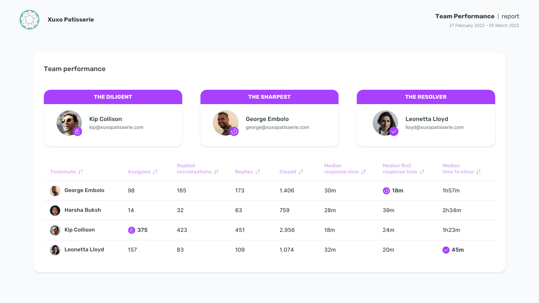

| THE DILIGENT                                  |                    |                                                       | <b>THE SHARPEST</b>  |                           |                                                      | <b>THE RESOLVER</b>                                        |                                                      |  |  |  |  |
|-----------------------------------------------|--------------------|-------------------------------------------------------|----------------------|---------------------------|------------------------------------------------------|------------------------------------------------------------|------------------------------------------------------|--|--|--|--|
| <b>Kip Collison</b><br>kip@xuxopatisserie.com |                    |                                                       | <b>George Embolo</b> | george@xuxopatisserie.com |                                                      | <b>Leonetta Lloyd</b><br>lloyd@xuxopatisserie.com          |                                                      |  |  |  |  |
| Teammate $\downarrow \uparrow$                | <b>Assigned JT</b> | <b>Replied</b><br>conversations $\downarrow \uparrow$ | Replies JT           | <b>Closed JT</b>          | <b>Median</b><br>response time $\downarrow \uparrow$ | <b>Median first</b><br>response time $\downarrow \uparrow$ | <b>Median</b><br>time to close $\downarrow \uparrow$ |  |  |  |  |
| <b>George Embolo</b>                          | 98                 | 165                                                   | 173                  | 1.406                     | 30 <sub>m</sub>                                      | <b>18m</b>                                                 | 1h57m                                                |  |  |  |  |
| Harsha Buksh<br>8                             | 14                 | 32                                                    | 63                   | 759                       | <b>28m</b>                                           | 39m                                                        | 2h34m                                                |  |  |  |  |
| 图<br><b>Kip Collison</b>                      | <b>C</b> 375       | 423                                                   | 451                  | 2.956                     | <b>18m</b>                                           | 24m                                                        | 1h23m                                                |  |  |  |  |
| Leonetta Lloyd<br>R                           | 157                | 83                                                    | 109                  | 1.074                     | 32m                                                  | <b>20m</b>                                                 | $\vee$ 45m                                           |  |  |  |  |

## Team Performance | report

27 February 2022 - 05 March 2022



| THE DILIGENT                                  |                    |                                                       |                               | <b>THE SHARPEST</b>       |                                                      | <b>THE RESOLVER</b>                                       |                                                      |  |  |  |  |
|-----------------------------------------------|--------------------|-------------------------------------------------------|-------------------------------|---------------------------|------------------------------------------------------|-----------------------------------------------------------|------------------------------------------------------|--|--|--|--|
| <b>Kip Collison</b><br>kip@xuxopatisserie.com |                    |                                                       | <b>George Embolo</b>          | george@xuxopatisserie.com |                                                      | <b>Leonetta Lloyd</b><br>lloyd@xuxopatisserie.com         |                                                      |  |  |  |  |
| Teammate $\downarrow \uparrow$                | <b>Assigned JT</b> | <b>Replied</b><br>conversations $\downarrow \uparrow$ | Replies $\downarrow \uparrow$ | <b>Closed JT</b>          | <b>Median</b><br>response time $\downarrow \uparrow$ | <b>Median first</b><br>response time $\downarrow\uparrow$ | <b>Median</b><br>time to close $\downarrow \uparrow$ |  |  |  |  |
| <b>George Embolo</b>                          | 98                 | 165                                                   | 173                           | 1.406                     | <b>30m</b>                                           | <b>18m</b>                                                | 1h57m                                                |  |  |  |  |
| Harsha Buksh                                  | 14                 | 32                                                    | 63                            | 759                       | <b>28m</b>                                           | 39m                                                       | 2h34m                                                |  |  |  |  |
| 图<br><b>Kip Collison</b>                      | <b>C</b> 375       | 423                                                   | 451                           | 2.956                     | <b>18m</b>                                           | 24m                                                       | 1h23m                                                |  |  |  |  |

## Team performance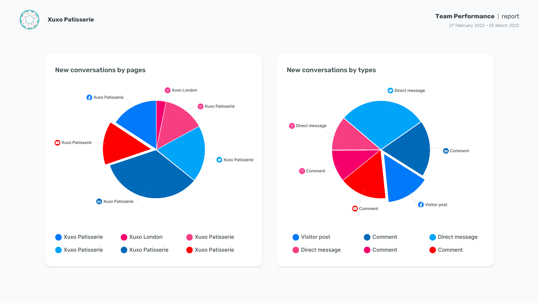







New conversations by pages

#### Team Performance | report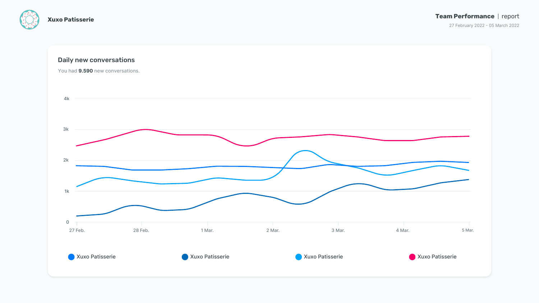



#### Team Performance | report

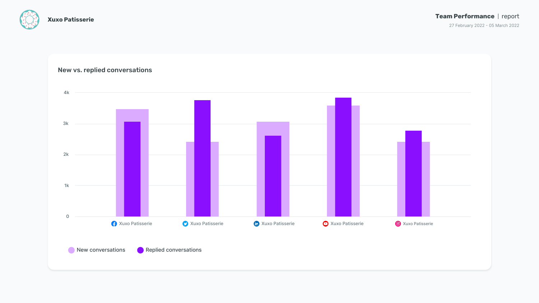

# New conversations **Replied conversations 0 1k 2k 3k 4k**





#### New vs. replied conversations

#### Team Performance | report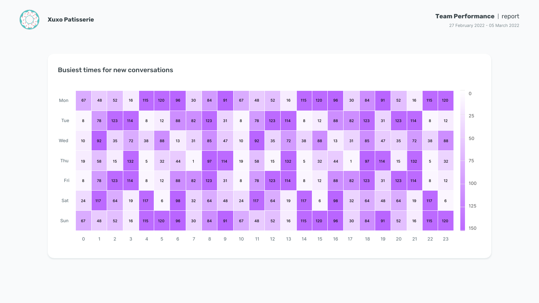



| Mon | 67             | 48             | 52             | 16             | 115            | 120             | 96 | 30             | 84  | 91  | 67             | 48  | 52  | 16  | 115             | 120             | 96 | 30                      | 84  | 91  | 52  | 16  | 115             | 120             | $\overline{0}$ |
|-----|----------------|----------------|----------------|----------------|----------------|-----------------|----|----------------|-----|-----|----------------|-----|-----|-----|-----------------|-----------------|----|-------------------------|-----|-----|-----|-----|-----------------|-----------------|----------------|
| Tue | 8              | 78             | 123            | 114            | 8              | 12              | 88 | 82             | 123 | 31  | $8\phantom{1}$ | 78  | 123 | 114 | 8               | 12              | 88 | 82                      | 123 | 31  | 123 | 114 | 8               | 12              | 25             |
| Wed | 10             | 92             | 35             | 72             | 38             | 88              | 13 | 31             | 85  | 47  | 10             | 92  | 35  | 72  | 38              | 88              | 13 | 31                      | 85  | 47  | 35  | 72  | 38              | 88              | 50             |
| Thu | 19             | 58             | 15             | 132            | 5 <sup>5</sup> | 32              | 44 | $\overline{1}$ | 97  | 114 | 19             | 58  | 15  | 132 | $5\overline{)}$ | 32              | 44 | $\overline{\mathbf{1}}$ | 97  | 114 | 15  | 132 | $5\overline{)}$ | 32              | 75             |
| Fri | 8              | 78             | 123            | 114            | 8              | 12              | 88 | 82             | 123 | 31  | 8              | 78  | 123 | 114 | 8               | 12              | 88 | 82                      | 123 | 31  | 123 | 114 | 8               | 12              | 100            |
| Sat | 24             | 117            | 64             | 19             | 117            | $6\phantom{1}6$ | 98 | 32             | 64  | 48  | 24             | 117 | 64  | 19  | 117             | $6\overline{6}$ | 98 | 32                      | 64  | 48  | 64  | 19  | 117             | $6\overline{6}$ | 125            |
| Sun | 67             | 48             | 52             | 16             | 115            | 120             | 96 | 30             | 84  | 91  | 67             | 48  | 52  | 16  | 115             | 120             | 96 | 30                      | 84  | 91  | 52  | 16  | 115             | 120             | 150            |
|     | $\overline{0}$ | $\overline{1}$ | $\overline{2}$ | 3 <sup>1</sup> | $\overline{4}$ | $5\overline{)}$ | 6  | $\overline{7}$ | 8   | 9   | 10             | 11  | 12  | 13  | 14              | 15              | 16 | 17                      | 18  | 19  | 20  | 21  | 22              | 23              |                |

#### Team Performance | report

27 February 2022 - 05 March 2022



#### Busiest times for new conversations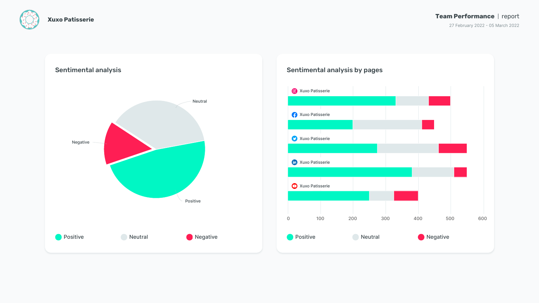







## Team Performance | report

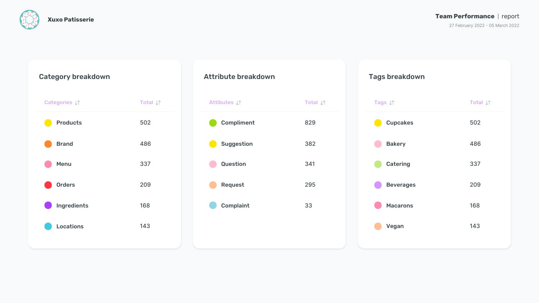

#### Team Performance | report

| kdown |                             | <b>Tags breakdown</b> |                             |
|-------|-----------------------------|-----------------------|-----------------------------|
|       | Total $\downarrow \uparrow$ | Tags J1               | Total $\downarrow \uparrow$ |
| t     | 829                         | <b>Cupcakes</b>       | 502                         |
|       | 382                         | <b>Bakery</b>         | 486                         |
|       | 341                         | <b>Catering</b>       | 337                         |
|       | 295                         | <b>Beverages</b>      | 209                         |
|       | 33                          | <b>Macarons</b>       | 168                         |
|       |                             | Vegan                 | 143                         |
|       |                             |                       |                             |

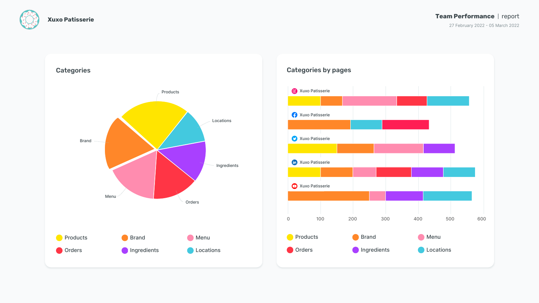







#### Team Performance | report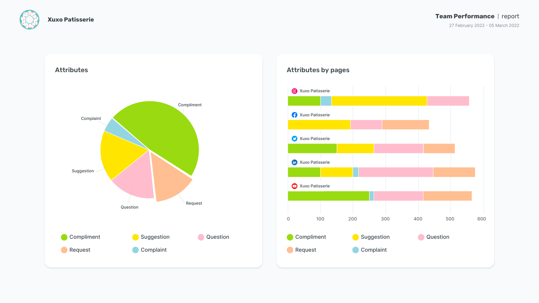



#### Team Performance | report

27 February 2022 - 05 March 2022

#### Attributes



![](_page_11_Figure_7.jpeg)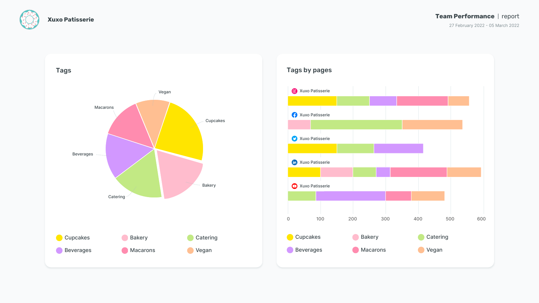![](_page_12_Picture_0.jpeg)

![](_page_12_Figure_5.jpeg)

![](_page_12_Figure_6.jpeg)

![](_page_12_Figure_2.jpeg)

#### Team Performance | report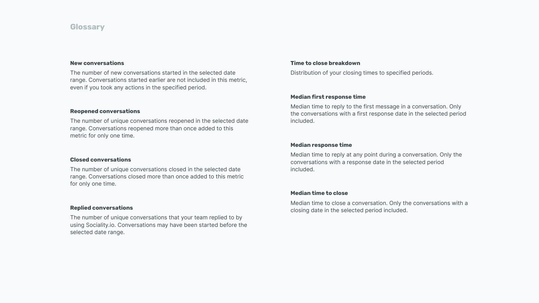## **Glossary**

#### **New conversations**

The number of new conversations started in the selected date range. Conversations started earlier are not included in this metric, even if you took any actions in the specified period.

#### **Median response time**

Median time to reply at any point during a conversation. Only the conversations with a response date in the selected period included.

#### **Reopened conversations**

The number of unique conversations reopened in the selected date range. Conversations reopened more than once added to this metric for only one time.

#### **Median time to close**

Median time to close a conversation. Only the conversations with a closing date in the selected period included.

#### **Closed conversations**

The number of unique conversations closed in the selected date range. Conversations closed more than once added to this metric for only one time.

#### **Replied conversations**

The number of unique conversations that your team replied to by using Sociality.io. Conversations may have been started before the selected date range.

#### **Median first response time**

Median time to reply to the first message in a conversation. Only the conversations with a first response date in the selected period included.

#### **Time to close breakdown**

Distribution of your closing times to specified periods.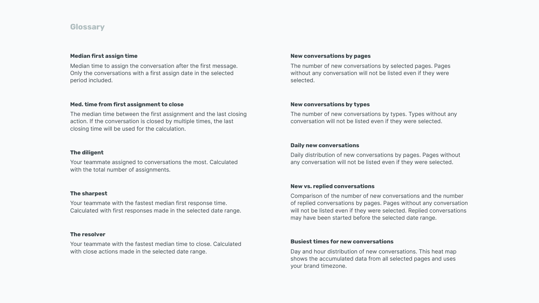## **Glossary**

#### **The diligent**

Your teammate assigned to conversations the most. Calculated with the total number of assignments.

#### **New vs. replied conversations**

Comparison of the number of new conversations and the number of replied conversations by pages. Pages without any conversation will not be listed even if they were selected. Replied conversations may have been started before the selected date range.

#### **The sharpest**

Your teammate with the fastest median first response time. Calculated with first responses made in the selected date range.

#### **Busiest times for new conversations**

Day and hour distribution of new conversations. This heat map shows the accumulated data from all selected pages and uses your brand timezone.

#### **The resolver**

Your teammate with the fastest median time to close. Calculated with close actions made in the selected date range.

#### **New conversations by pages**

The number of new conversations by selected pages. Pages without any conversation will not be listed even if they were selected.

#### **Daily new conversations**

Daily distribution of new conversations by pages. Pages without any conversation will not be listed even if they were selected.

#### **New conversations by types**

The number of new conversations by types. Types without any conversation will not be listed even if they were selected.

#### **Median first assign time**

Median time to assign the conversation after the first message. Only the conversations with a first assign date in the selected period included.

#### **Med. time from first assignment to close**

The median time between the first assignment and the last closing action. If the conversation is closed by multiple times, the last closing time will be used for the calculation.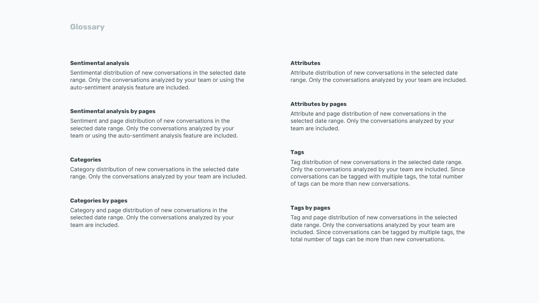## **Glossary**

#### **Categories**

Category distribution of new conversations in the selected date range. Only the conversations analyzed by your team are included.

#### **Categories by pages**

Category and page distribution of new conversations in the selected date range. Only the conversations analyzed by your team are included.

#### **Attributes**

Attribute distribution of new conversations in the selected date range. Only the conversations analyzed by your team are included.

#### **Attributes by pages**

Attribute and page distribution of new conversations in the selected date range. Only the conversations analyzed by your team are included.

#### **Tags by pages**

Tag and page distribution of new conversations in the selected date range. Only the conversations analyzed by your team are included. Since conversations can be tagged by multiple tags, the total number of tags can be more than new conversations.

#### **Tags**

Tag distribution of new conversations in the selected date range. Only the conversations analyzed by your team are included. Since conversations can be tagged with multiple tags, the total number of tags can be more than new conversations.

#### **Sentimental analysis by pages**

Sentiment and page distribution of new conversations in the selected date range. Only the conversations analyzed by your team or using the auto-sentiment analysis feature are included.

#### **Sentimental analysis**

Sentimental distribution of new conversations in the selected date range. Only the conversations analyzed by your team or using the auto-sentiment analysis feature are included.